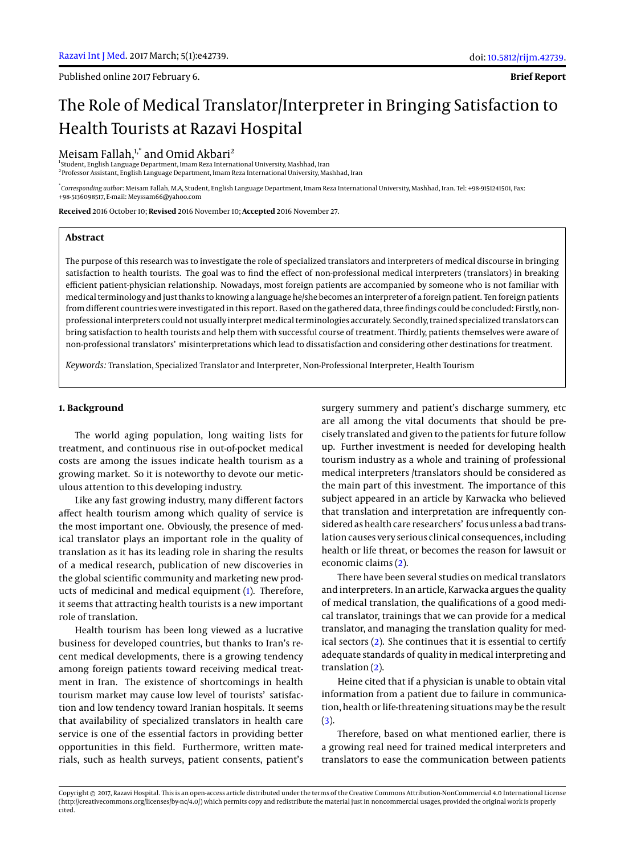Published online 2017 February 6.

**Brief Report**

# The Role of Medical Translator/Interpreter in Bringing Satisfaction to Health Tourists at Razavi Hospital

## Meisam Fallah, $1$ <sup>\*</sup> and Omid Akbari<sup>2</sup>

1 Student, English Language Department, Imam Reza International University, Mashhad, Iran  $^{\rm 2}$ Professor Assistant, English Language Department, Imam Reza International University, Mashhad, Iran

\* *Corresponding author*: Meisam Fallah, M.A, Student, English Language Department, Imam Reza International University, Mashhad, Iran. Tel: +98-9151241501, Fax: +98-5136098517, E-mail: Meyssam66@yahoo.com

**Received** 2016 October 10; **Revised** 2016 November 10; **Accepted** 2016 November 27.

## **Abstract**

The purpose of this research was to investigate the role of specialized translators and interpreters of medical discourse in bringing satisfaction to health tourists. The goal was to find the effect of non-professional medical interpreters (translators) in breaking efficient patient-physician relationship. Nowadays, most foreign patients are accompanied by someone who is not familiar with medical terminology and just thanks to knowing a language he/she becomes an interpreter of a foreign patient. Ten foreign patients from different countries were investigated in this report. Based on the gathered data, three findings could be concluded: Firstly, nonprofessional interpreters could not usually interpretmedical terminologies accurately. Secondly, trained specialized translators can bring satisfaction to health tourists and help them with successful course of treatment. Thirdly, patients themselves were aware of non-professional translators' misinterpretations which lead to dissatisfaction and considering other destinations for treatment.

*Keywords:* Translation, Specialized Translator and Interpreter, Non-Professional Interpreter, Health Tourism

#### **1. Background**

The world aging population, long waiting lists for treatment, and continuous rise in out-of-pocket medical costs are among the issues indicate health tourism as a growing market. So it is noteworthy to devote our meticulous attention to this developing industry.

Like any fast growing industry, many different factors affect health tourism among which quality of service is the most important one. Obviously, the presence of medical translator plays an important role in the quality of translation as it has its leading role in sharing the results of a medical research, publication of new discoveries in the global scientific community and marketing new products of medicinal and medical equipment [\(1\)](#page-2-0). Therefore, it seems that attracting health tourists is a new important role of translation.

Health tourism has been long viewed as a lucrative business for developed countries, but thanks to Iran's recent medical developments, there is a growing tendency among foreign patients toward receiving medical treatment in Iran. The existence of shortcomings in health tourism market may cause low level of tourists' satisfaction and low tendency toward Iranian hospitals. It seems that availability of specialized translators in health care service is one of the essential factors in providing better opportunities in this field. Furthermore, written materials, such as health surveys, patient consents, patient's

surgery summery and patient's discharge summery, etc are all among the vital documents that should be precisely translated and given to the patients for future follow up. Further investment is needed for developing health tourism industry as a whole and training of professional medical interpreters /translators should be considered as the main part of this investment. The importance of this subject appeared in an article by Karwacka who believed that translation and interpretation are infrequently considered as health care researchers' focus unless a bad translation causes very serious clinical consequences, including health or life threat, or becomes the reason for lawsuit or economic claims [\(2\)](#page-2-1).

There have been several studies on medical translators and interpreters. In an article, Karwacka argues the quality of medical translation, the qualifications of a good medical translator, trainings that we can provide for a medical translator, and managing the translation quality for medical sectors [\(2\)](#page-2-1). She continues that it is essential to certify adequate standards of quality in medical interpreting and translation [\(2\)](#page-2-1).

Heine cited that if a physician is unable to obtain vital information from a patient due to failure in communication, health or life-threatening situations may be the result  $(3).$  $(3).$ 

Therefore, based on what mentioned earlier, there is a growing real need for trained medical interpreters and translators to ease the communication between patients

Copyright © 2017, Razavi Hospital. This is an open-access article distributed under the terms of the Creative Commons Attribution-NonCommercial 4.0 International License (http://creativecommons.org/licenses/by-nc/4.0/) which permits copy and redistribute the material just in noncommercial usages, provided the original work is properly cited.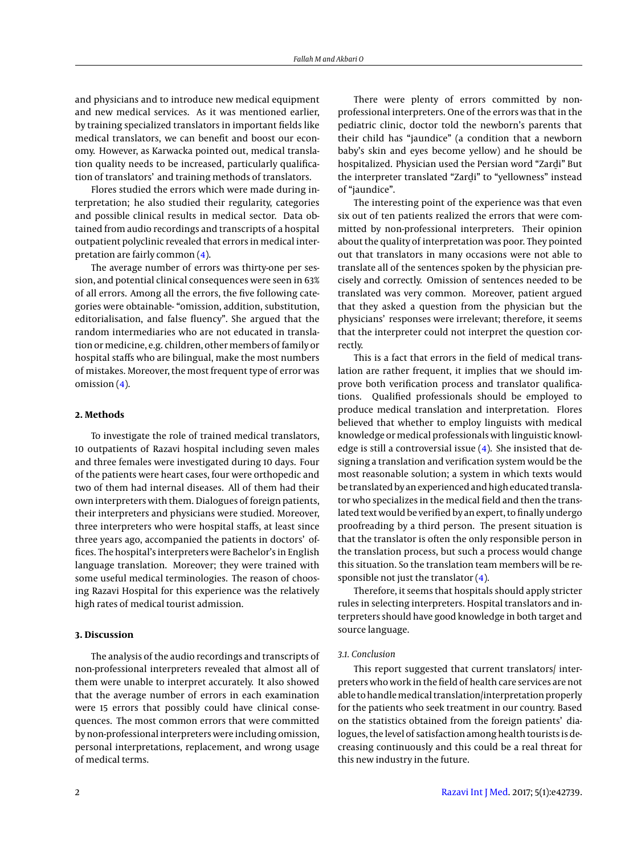and physicians and to introduce new medical equipment and new medical services. As it was mentioned earlier, by training specialized translators in important fields like medical translators, we can benefit and boost our economy. However, as Karwacka pointed out, medical translation quality needs to be increased, particularly qualification of translators' and training methods of translators.

Flores studied the errors which were made during interpretation; he also studied their regularity, categories and possible clinical results in medical sector. Data obtained from audio recordings and transcripts of a hospital outpatient polyclinic revealed that errors in medical interpretation are fairly common [\(4\)](#page-2-3).

The average number of errors was thirty-one per session, and potential clinical consequences were seen in 63% of all errors. Among all the errors, the five following categories were obtainable- "omission, addition, substitution, editorialisation, and false fluency". She argued that the random intermediaries who are not educated in translation or medicine, e.g. children, other members of family or hospital staffs who are bilingual, make the most numbers of mistakes. Moreover, the most frequent type of error was omission [\(4\)](#page-2-3).

#### **2. Methods**

To investigate the role of trained medical translators, 10 outpatients of Razavi hospital including seven males and three females were investigated during 10 days. Four of the patients were heart cases, four were orthopedic and two of them had internal diseases. All of them had their own interpreters with them. Dialogues of foreign patients, their interpreters and physicians were studied. Moreover, three interpreters who were hospital staffs, at least since three years ago, accompanied the patients in doctors' offices. The hospital's interpreters were Bachelor's in English language translation. Moreover; they were trained with some useful medical terminologies. The reason of choosing Razavi Hospital for this experience was the relatively high rates of medical tourist admission.

#### **3. Discussion**

The analysis of the audio recordings and transcripts of non-professional interpreters revealed that almost all of them were unable to interpret accurately. It also showed that the average number of errors in each examination were 15 errors that possibly could have clinical consequences. The most common errors that were committed by non-professional interpreters were including omission, personal interpretations, replacement, and wrong usage of medical terms.

There were plenty of errors committed by nonprofessional interpreters. One of the errors was that in the pediatric clinic, doctor told the newborn's parents that their child has "jaundice" (a condition that a newborn baby's skin and eyes become yellow) and he should be hospitalized. Physician used the Persian word "Zard i" But the interpreter translated "Zardi" to "yellowness" instead<br>of "jaundice" of "jaundice".

The interesting point of the experience was that even six out of ten patients realized the errors that were committed by non-professional interpreters. Their opinion about the quality of interpretation was poor. They pointed out that translators in many occasions were not able to translate all of the sentences spoken by the physician precisely and correctly. Omission of sentences needed to be translated was very common. Moreover, patient argued that they asked a question from the physician but the physicians' responses were irrelevant; therefore, it seems that the interpreter could not interpret the question correctly.

This is a fact that errors in the field of medical translation are rather frequent, it implies that we should improve both verification process and translator qualifications. Qualified professionals should be employed to produce medical translation and interpretation. Flores believed that whether to employ linguists with medical knowledge or medical professionals with linguistic knowledge is still a controversial issue [\(4\)](#page-2-3). She insisted that designing a translation and verification system would be the most reasonable solution; a system in which texts would be translated by an experienced and high educated translator who specializes in the medical field and then the translated text would be verified by an expert, to finally undergo proofreading by a third person. The present situation is that the translator is often the only responsible person in the translation process, but such a process would change this situation. So the translation team members will be responsible not just the translator  $(4)$ .

Therefore, it seems that hospitals should apply stricter rules in selecting interpreters. Hospital translators and interpreters should have good knowledge in both target and source language.

#### *3.1. Conclusion*

This report suggested that current translators/ interpreters who work in the field of health care services are not able to handlemedical translation/interpretation properly for the patients who seek treatment in our country. Based on the statistics obtained from the foreign patients' dialogues, the level of satisfaction among health tourists is decreasing continuously and this could be a real threat for this new industry in the future.